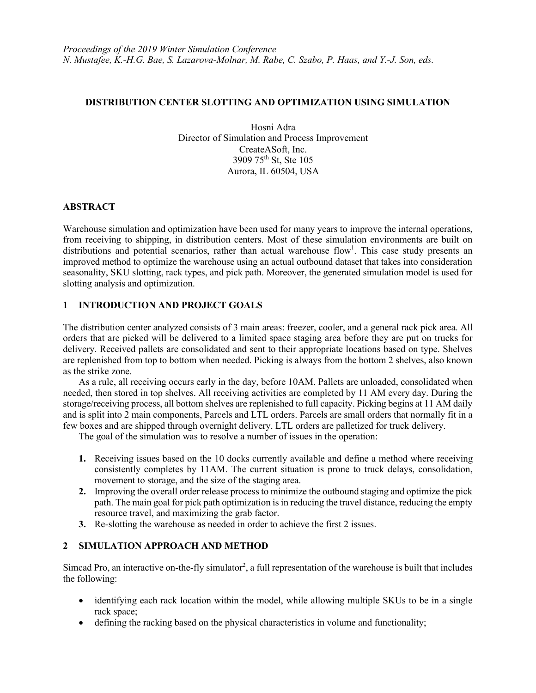### **DISTRIBUTION CENTER SLOTTING AND OPTIMIZATION USING SIMULATION**

Hosni Adra Director of Simulation and Process Improvement CreateASoft, Inc. 3909 75th St, Ste 105 Aurora, IL 60504, USA

## **ABSTRACT**

Warehouse simulation and optimization have been used for many years to improve the internal operations, from receiving to shipping, in distribution centers. Most of these simulation environments are built on distributions and potential scenarios, rather than actual warehouse flow<sup>1</sup>. This case study presents an improved method to optimize the warehouse using an actual outbound dataset that takes into consideration seasonality, SKU slotting, rack types, and pick path. Moreover, the generated simulation model is used for slotting analysis and optimization.

## **1 INTRODUCTION AND PROJECT GOALS**

The distribution center analyzed consists of 3 main areas: freezer, cooler, and a general rack pick area. All orders that are picked will be delivered to a limited space staging area before they are put on trucks for delivery. Received pallets are consolidated and sent to their appropriate locations based on type. Shelves are replenished from top to bottom when needed. Picking is always from the bottom 2 shelves, also known as the strike zone.

As a rule, all receiving occurs early in the day, before 10AM. Pallets are unloaded, consolidated when needed, then stored in top shelves. All receiving activities are completed by 11 AM every day. During the storage/receiving process, all bottom shelves are replenished to full capacity. Picking begins at 11 AM daily and is split into 2 main components, Parcels and LTL orders. Parcels are small orders that normally fit in a few boxes and are shipped through overnight delivery. LTL orders are palletized for truck delivery.

The goal of the simulation was to resolve a number of issues in the operation:

- **1.** Receiving issues based on the 10 docks currently available and define a method where receiving consistently completes by 11AM. The current situation is prone to truck delays, consolidation, movement to storage, and the size of the staging area.
- **2.** Improving the overall order release process to minimize the outbound staging and optimize the pick path. The main goal for pick path optimization is in reducing the travel distance, reducing the empty resource travel, and maximizing the grab factor.
- **3.** Re-slotting the warehouse as needed in order to achieve the first 2 issues.

# **2 SIMULATION APPROACH AND METHOD**

Simcad Pro, an interactive on-the-fly simulator<sup>2</sup>, a full representation of the warehouse is built that includes the following:

- identifying each rack location within the model, while allowing multiple SKUs to be in a single rack space;
- defining the racking based on the physical characteristics in volume and functionality;